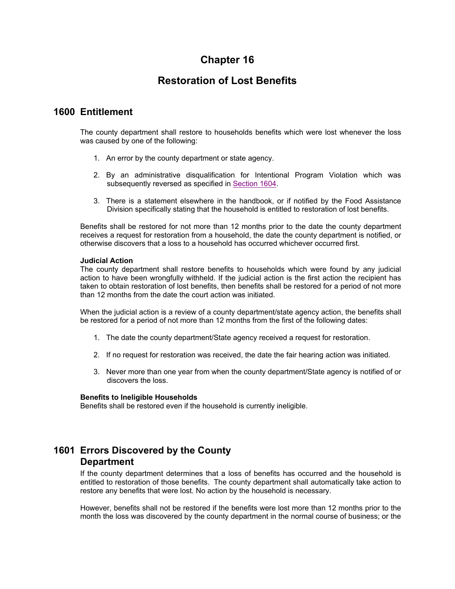# **Chapter 16**

# **Restoration of Lost Benefits**

### **1600 Entitlement**

The county department shall restore to households benefits which were lost whenever the loss was caused by one of the following:

- 1. An error by the county department or state agency.
- 2. By an administrative disqualification for Intentional Program Violation which was subsequently reversed as specified in Section 1604.
- 3. There is a statement elsewhere in the handbook, or if notified by the Food Assistance Division specifically stating that the household is entitled to restoration of lost benefits.

Benefits shall be restored for not more than 12 months prior to the date the county department receives a request for restoration from a household, the date the county department is notified, or otherwise discovers that a loss to a household has occurred whichever occurred first.

#### **Judicial Action**

The county department shall restore benefits to households which were found by any judicial action to have been wrongfully withheld. If the judicial action is the first action the recipient has taken to obtain restoration of lost benefits, then benefits shall be restored for a period of not more than 12 months from the date the court action was initiated.

When the judicial action is a review of a county department/state agency action, the benefits shall be restored for a period of not more than 12 months from the first of the following dates:

- 1. The date the county department/State agency received a request for restoration.
- 2. If no request for restoration was received, the date the fair hearing action was initiated.
- 3. Never more than one year from when the county department/State agency is notified of or discovers the loss.

#### **Benefits to Ineligible Households**

Benefits shall be restored even if the household is currently ineligible.

# **1601 Errors Discovered by the County Department**

If the county department determines that a loss of benefits has occurred and the household is entitled to restoration of those benefits. The county department shall automatically take action to restore any benefits that were lost. No action by the household is necessary.

However, benefits shall not be restored if the benefits were lost more than 12 months prior to the month the loss was discovered by the county department in the normal course of business; or the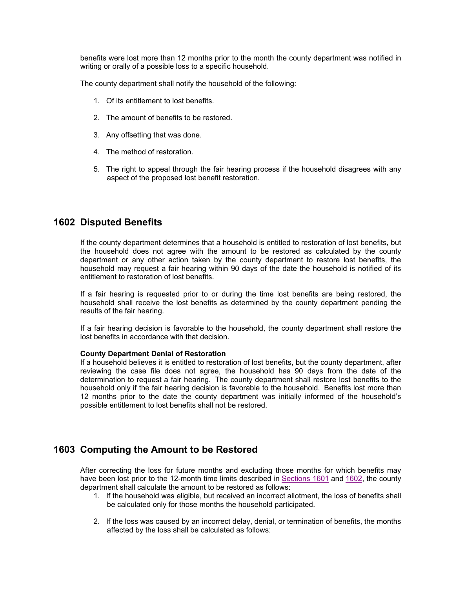benefits were lost more than 12 months prior to the month the county department was notified in writing or orally of a possible loss to a specific household.

The county department shall notify the household of the following:

- 1. Of its entitlement to lost benefits.
- 2. The amount of benefits to be restored.
- 3. Any offsetting that was done.
- 4. The method of restoration.
- 5. The right to appeal through the fair hearing process if the household disagrees with any aspect of the proposed lost benefit restoration.

### **1602 Disputed Benefits**

If the county department determines that a household is entitled to restoration of lost benefits, but the household does not agree with the amount to be restored as calculated by the county department or any other action taken by the county department to restore lost benefits, the household may request a fair hearing within 90 days of the date the household is notified of its entitlement to restoration of lost benefits.

If a fair hearing is requested prior to or during the time lost benefits are being restored, the household shall receive the lost benefits as determined by the county department pending the results of the fair hearing.

If a fair hearing decision is favorable to the household, the county department shall restore the lost benefits in accordance with that decision.

#### **County Department Denial of Restoration**

If a household believes it is entitled to restoration of lost benefits, but the county department, after reviewing the case file does not agree, the household has 90 days from the date of the determination to request a fair hearing. The county department shall restore lost benefits to the household only if the fair hearing decision is favorable to the household. Benefits lost more than 12 months prior to the date the county department was initially informed of the household's possible entitlement to lost benefits shall not be restored.

## **1603 Computing the Amount to be Restored**

After correcting the loss for future months and excluding those months for which benefits may have been lost prior to the 12-month time limits described in Sections 1601 and 1602, the county department shall calculate the amount to be restored as follows:

- 1. If the household was eligible, but received an incorrect allotment, the loss of benefits shall be calculated only for those months the household participated.
- 2. If the loss was caused by an incorrect delay, denial, or termination of benefits, the months affected by the loss shall be calculated as follows: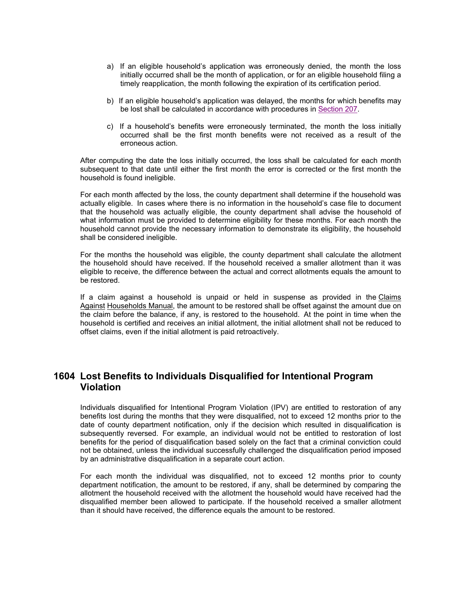- a) If an eligible household's application was erroneously denied, the month the loss initially occurred shall be the month of application, or for an eligible household filing a timely reapplication, the month following the expiration of its certification period.
- b) If an eligible household's application was delayed, the months for which benefits may be lost shall be calculated in accordance with procedures in Section 207.
- c) If a household's benefits were erroneously terminated, the month the loss initially occurred shall be the first month benefits were not received as a result of the erroneous action.

After computing the date the loss initially occurred, the loss shall be calculated for each month subsequent to that date until either the first month the error is corrected or the first month the household is found ineligible.

For each month affected by the loss, the county department shall determine if the household was actually eligible. In cases where there is no information in the household's case file to document that the household was actually eligible, the county department shall advise the household of what information must be provided to determine eligibility for these months. For each month the household cannot provide the necessary information to demonstrate its eligibility, the household shall be considered ineligible.

For the months the household was eligible, the county department shall calculate the allotment the household should have received. If the household received a smaller allotment than it was eligible to receive, the difference between the actual and correct allotments equals the amount to be restored.

If a claim against a household is unpaid or held in suspense as provided in the Claims Against Households Manual, the amount to be restored shall be offset against the amount due on the claim before the balance, if any, is restored to the household. At the point in time when the household is certified and receives an initial allotment, the initial allotment shall not be reduced to offset claims, even if the initial allotment is paid retroactively.

# **1604 Lost Benefits to Individuals Disqualified for Intentional Program Violation**

Individuals disqualified for Intentional Program Violation (IPV) are entitled to restoration of any benefits lost during the months that they were disqualified, not to exceed 12 months prior to the date of county department notification, only if the decision which resulted in disqualification is subsequently reversed. For example, an individual would not be entitled to restoration of lost benefits for the period of disqualification based solely on the fact that a criminal conviction could not be obtained, unless the individual successfully challenged the disqualification period imposed by an administrative disqualification in a separate court action.

For each month the individual was disqualified, not to exceed 12 months prior to county department notification, the amount to be restored, if any, shall be determined by comparing the allotment the household received with the allotment the household would have received had the disqualified member been allowed to participate. If the household received a smaller allotment than it should have received, the difference equals the amount to be restored.